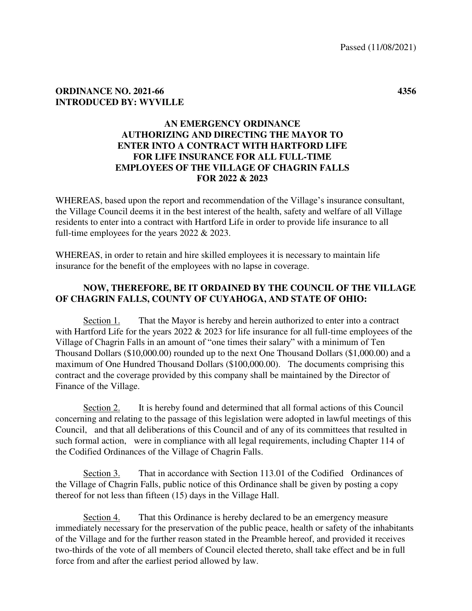## **ORDINANCE NO. 2021-66 4356 INTRODUCED BY: WYVILLE**

## **AN EMERGENCY ORDINANCE AUTHORIZING AND DIRECTING THE MAYOR TO ENTER INTO A CONTRACT WITH HARTFORD LIFE FOR LIFE INSURANCE FOR ALL FULL-TIME EMPLOYEES OF THE VILLAGE OF CHAGRIN FALLS FOR 2022 & 2023**

WHEREAS, based upon the report and recommendation of the Village's insurance consultant, the Village Council deems it in the best interest of the health, safety and welfare of all Village residents to enter into a contract with Hartford Life in order to provide life insurance to all full-time employees for the years 2022 & 2023.

WHEREAS, in order to retain and hire skilled employees it is necessary to maintain life insurance for the benefit of the employees with no lapse in coverage.

## **NOW, THEREFORE, BE IT ORDAINED BY THE COUNCIL OF THE VILLAGE OF CHAGRIN FALLS, COUNTY OF CUYAHOGA, AND STATE OF OHIO:**

 Section 1. That the Mayor is hereby and herein authorized to enter into a contract with Hartford Life for the years 2022 & 2023 for life insurance for all full-time employees of the Village of Chagrin Falls in an amount of "one times their salary" with a minimum of Ten Thousand Dollars (\$10,000.00) rounded up to the next One Thousand Dollars (\$1,000.00) and a maximum of One Hundred Thousand Dollars (\$100,000.00). The documents comprising this contract and the coverage provided by this company shall be maintained by the Director of Finance of the Village.

 Section 2. It is hereby found and determined that all formal actions of this Council concerning and relating to the passage of this legislation were adopted in lawful meetings of this Council, and that all deliberations of this Council and of any of its committees that resulted in such formal action, were in compliance with all legal requirements, including Chapter 114 of the Codified Ordinances of the Village of Chagrin Falls.

 Section 3. That in accordance with Section 113.01 of the Codified Ordinances of the Village of Chagrin Falls, public notice of this Ordinance shall be given by posting a copy thereof for not less than fifteen (15) days in the Village Hall.

Section 4. That this Ordinance is hereby declared to be an emergency measure immediately necessary for the preservation of the public peace, health or safety of the inhabitants of the Village and for the further reason stated in the Preamble hereof, and provided it receives two-thirds of the vote of all members of Council elected thereto, shall take effect and be in full force from and after the earliest period allowed by law.